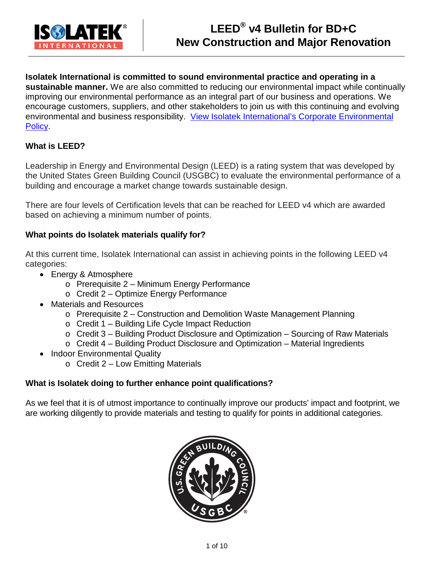

## **Isolatek International is committed to sound environmental practice and operating in a sustainable manner.** We are also committed to reducing our environmental impact while continually improving our environmental performance as an integral part of our business and operations. We encourage customers, suppliers, and other stakeholders to join us with this continuing and evolving environmental and business responsibility. [View Isolatek International's Corporate Environmental](http://isolatek.com/PolicyLetters/F267_Environmental%20Policy%20Statement_Oct%202015.pdf)  [Policy.](http://isolatek.com/PolicyLetters/F267_Environmental%20Policy%20Statement_Oct%202015.pdf)

# **What is LEED?**

Leadership in Energy and Environmental Design (LEED) is a rating system that was developed by the United States Green Building Council (USGBC) to evaluate the environmental performance of a building and encourage a market change towards sustainable design.

There are four levels of Certification levels that can be reached for LEED v4 which are awarded based on achieving a minimum number of points.

## **What points do Isolatek materials qualify for?**

At this current time, Isolatek International can assist in achieving points in the following LEED v4 categories:

- Energy & Atmosphere
	- o Prerequisite 2 Minimum Energy Performance
	- o Credit 2 Optimize Energy Performance
- Materials and Resources
	- o Prerequisite 2 Construction and Demolition Waste Management Planning
	- o Credit 1 Building Life Cycle Impact Reduction
	- o Credit 3 Building Product Disclosure and Optimization Sourcing of Raw Materials
	- o Credit 4 Building Product Disclosure and Optimization Material Ingredients
- Indoor Environmental Quality
	- o Credit 2 Low Emitting Materials

## **What is Isolatek doing to further enhance point qualifications?**

As we feel that it is of utmost importance to continually improve our products' impact and footprint, we are working diligently to provide materials and testing to qualify for points in additional categories.

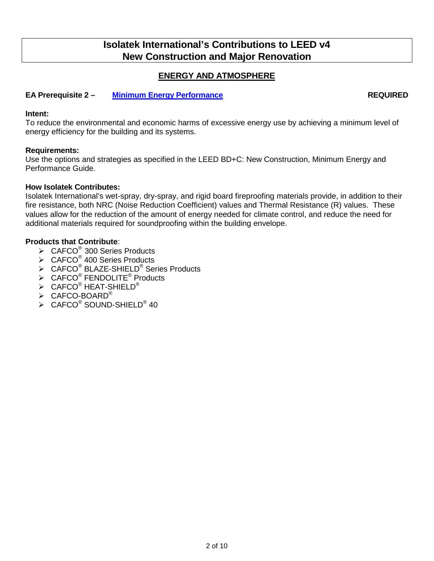## **ENERGY AND ATMOSPHERE**

#### **EA Prerequisite 2 – Minimum [Energy Performance](http://www.usgbc.org/node/2613358?return=/credits/new-construction/v4/energy-%26amp%3B-atmosphere) REQUIRED**

#### **Intent:**

To reduce the environmental and economic harms of excessive energy use by achieving a minimum level of energy efficiency for the building and its systems.

#### **Requirements:**

Use the options and strategies as specified in the LEED BD+C: New Construction, Minimum Energy and Performance Guide.

### **How Isolatek Contributes:**

Isolatek International's wet-spray, dry-spray, and rigid board fireproofing materials provide, in addition to their fire resistance, both NRC (Noise Reduction Coefficient) values and Thermal Resistance (R) values. These values allow for the reduction of the amount of energy needed for climate control, and reduce the need for additional materials required for soundproofing within the building envelope.

- $\triangleright$  CAFCO<sup>®</sup> 300 Series Products
- $\triangleright$  CAFCO<sup>®</sup> 400 Series Products
- > CAFCO<sup>®</sup> BLAZE-SHIELD<sup>®</sup> Series Products
- $\triangleright$  CAFCO<sup>®</sup> FENDOLITE<sup>®</sup> Products
- $\triangleright$  CAFCO<sup>®</sup> HEAT-SHIELD<sup>®</sup>
- $\triangleright$  CAFCO-BOARD®
- $\triangleright$  CAFCO<sup>®</sup> SOUND-SHIELD<sup>®</sup> 40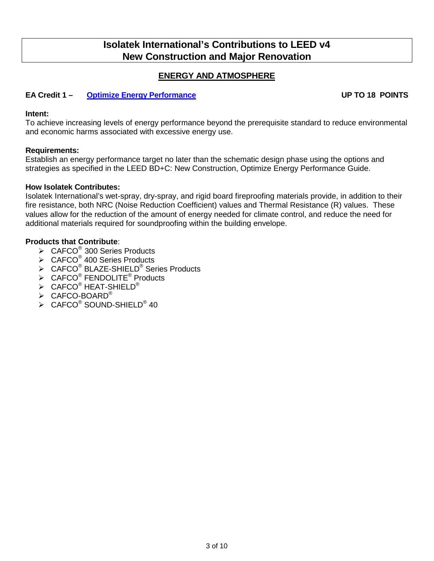## **ENERGY AND ATMOSPHERE**

## **EA Credit 1 – [Optimize Energy Performance](http://www.usgbc.org/credits/healthcare/v4-draft/eac2) UP TO 18 POINTS**

#### **Intent:**

To achieve increasing levels of energy performance beyond the prerequisite standard to reduce environmental and economic harms associated with excessive energy use.

#### **Requirements:**

Establish an energy performance target no later than the schematic design phase using the options and strategies as specified in the LEED BD+C: New Construction, Optimize Energy Performance Guide.

#### **How Isolatek Contributes:**

Isolatek International's wet-spray, dry-spray, and rigid board fireproofing materials provide, in addition to their fire resistance, both NRC (Noise Reduction Coefficient) values and Thermal Resistance (R) values. These values allow for the reduction of the amount of energy needed for climate control, and reduce the need for additional materials required for soundproofing within the building envelope.

- $\triangleright$  CAFCO<sup>®</sup> 300 Series Products
- $\triangleright$  CAFCO<sup>®</sup> 400 Series Products
- > CAFCO<sup>®</sup> BLAZE-SHIELD<sup>®</sup> Series Products
- $\triangleright$  CAFCO<sup>®</sup> FENDOLITE<sup>®</sup> Products
- $\triangleright$  CAFCO<sup>®</sup> HEAT-SHIELD<sup>®</sup>
- $\triangleright$  CAFCO-BOARD®
- $\triangleright$  CAFCO<sup>®</sup> SOUND-SHIELD<sup>®</sup> 40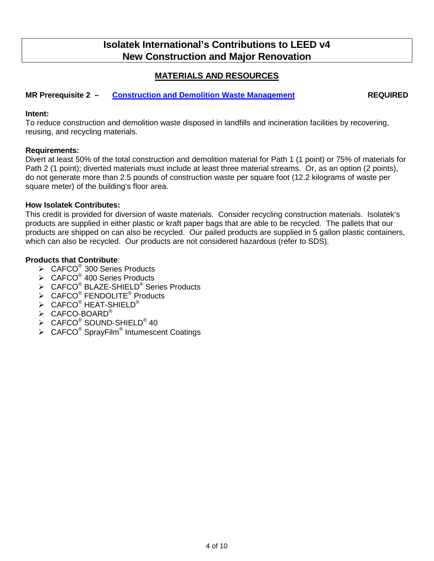## **MATERIALS AND RESOURCES**

### **MR Prerequisite 2 – [Construction and Demolition Waste Management](http://www.usgbc.org/node/2601031?return=/credits/new-construction/v4/material-%26amp%3B-resources) REQUIRED**

## **Intent:**

To reduce construction and demolition waste disposed in landfills and incineration facilities by recovering, reusing, and recycling materials.

#### **Requirements:**

Divert at least 50% of the total construction and demolition material for Path 1 (1 point) or 75% of materials for Path 2 (1 point); diverted materials must include at least three material streams. Or, as an option (2 points), do not generate more than 2.5 pounds of construction waste per square foot (12.2 kilograms of waste per square meter) of the building's floor area.

#### **How Isolatek Contributes:**

This credit is provided for diversion of waste materials. Consider recycling construction materials. Isolatek's products are supplied in either plastic or kraft paper bags that are able to be recycled. The pallets that our products are shipped on can also be recycled. Our pailed products are supplied in 5 gallon plastic containers, which can also be recycled. Our products are not considered hazardous (refer to SDS).

- $\triangleright$  CAFCO<sup>®</sup> 300 Series Products
- $\triangleright$  CAFCO<sup>®</sup> 400 Series Products
- $\triangleright$  CAFCO<sup>®</sup> BLAZE-SHIELD<sup>®</sup> Series Products
- $\triangleright$  CAFCO<sup>®</sup> FENDOLITE<sup>®</sup> Products
- $\triangleright$  CAFCO<sup>®</sup> HEAT-SHIELD<sup>®</sup>
- > CAFCO-BOARD®
- $\triangleright$  CAFCO<sup>®</sup> SOUND-SHIELD<sup>®</sup> 40
- $\triangleright$  CAFCO<sup>®</sup> SprayFilm<sup>®</sup> Intumescent Coatings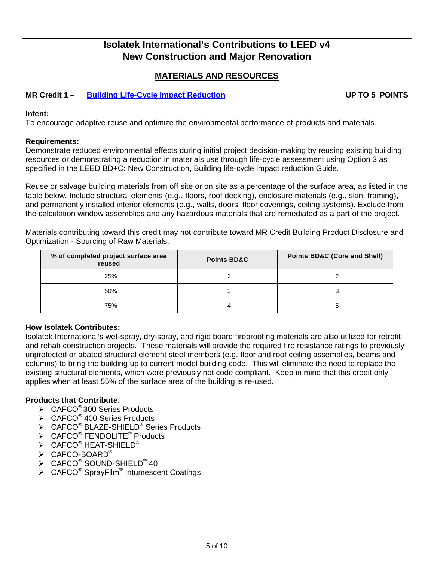## **MATERIALS AND RESOURCES**

## **MR Credit 1 – [Building Life-Cycle Impact Reduction](http://www.usgbc.org/node/2614363?return=/credits/new-construction/v4/material-%26amp%3B-resources) UP TO 5 POINTS**

#### **Intent:**

To encourage adaptive reuse and optimize the environmental performance of products and materials.

#### **Requirements:**

Demonstrate reduced environmental effects during initial project decision-making by reusing existing building resources or demonstrating a reduction in materials use through life-cycle assessment using Option 3 as specified in the LEED BD+C: New Construction, Building life-cycle impact reduction Guide.

Reuse or salvage building materials from off site or on site as a percentage of the surface area, as listed in the table below. Include structural elements (e.g., floors, roof decking), enclosure materials (e.g., skin, framing), and permanently installed interior elements (e.g., walls, doors, floor coverings, ceiling systems). Exclude from the calculation window assemblies and any hazardous materials that are remediated as a part of the project.

Materials contributing toward this credit may not contribute toward MR Credit Building Product Disclosure and Optimization - Sourcing of Raw Materials.

| % of completed project surface area<br>reused | <b>Points BD&amp;C</b> | <b>Points BD&amp;C (Core and Shell)</b> |
|-----------------------------------------------|------------------------|-----------------------------------------|
| 25%                                           |                        |                                         |
| 50%                                           |                        |                                         |
| 75%                                           |                        |                                         |

#### **How Isolatek Contributes:**

Isolatek International's wet-spray, dry-spray, and rigid board fireproofing materials are also utilized for retrofit and rehab construction projects. These materials will provide the required fire resistance ratings to previously unprotected or abated structural element steel members (e.g. floor and roof ceiling assemblies, beams and columns) to bring the building up to current model building code. This will eliminate the need to replace the existing structural elements, which were previously not code compliant. Keep in mind that this credit only applies when at least 55% of the surface area of the building is re-used.

- $\triangleright$  CAFCO<sup>®</sup> 300 Series Products
- $\triangleright$  CAFCO<sup>®</sup> 400 Series Products
- $\triangleright$  CAFCO<sup>®</sup> BLAZE-SHIELD<sup>®</sup> Series Products
- $\triangleright$  CAFCO<sup>®</sup> FENDOLITE<sup>®</sup> Products
- $\triangleright$  CAFCO<sup>®</sup> HEAT-SHIELD<sup>®</sup>
- $\triangleright$  CAFCO-BOARD®
- $\triangleright$  CAFCO<sup>®</sup> SOUND-SHIELD<sup>®</sup> 40
- $\sum_{n=0}^{\infty}$  CAFCO<sup>®</sup> SprayFilm<sup>®</sup> Intumescent Coatings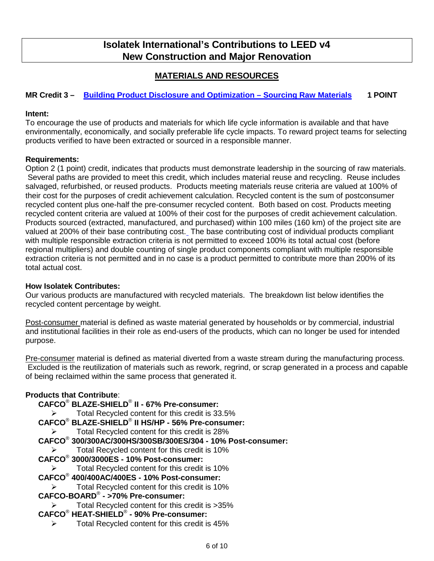# **MATERIALS AND RESOURCES**

## **MR Credit 3 – [Building Product Disclosure and Optimization –](http://www.usgbc.org/node/2616388?return=/credits/new-construction/v4/material-%26amp%3B-resources) Sourcing Raw Materials 1 POINT**

### **Intent:**

To encourage the use of products and materials for which life cycle information is available and that have environmentally, economically, and socially preferable life cycle impacts. To reward project teams for selecting products verified to have been extracted or sourced in a responsible manner.

### **Requirements:**

Option 2 (1 point) credit, indicates that products must demonstrate leadership in the sourcing of raw materials. Several paths are provided to meet this credit, which includes material reuse and recycling. Reuse includes salvaged, refurbished, or reused products. Products meeting materials reuse criteria are valued at 100% of their cost for the purposes of credit achievement calculation. Recycled content is the sum of postconsumer recycled content plus one-half the pre-consumer recycled content. Both based on cost. Products meeting recycled content criteria are valued at 100% of their cost for the purposes of credit achievement calculation. Products sourced (extracted, manufactured, and purchased) within 100 miles (160 km) of the project site are valued at 200% of their base contributing cost. The base contributing cost of individual products compliant with multiple responsible extraction criteria is not permitted to exceed 100% its total actual cost (before regional multipliers) and double counting of single product components compliant with multiple responsible extraction criteria is not permitted and in no case is a product permitted to contribute more than 200% of its total actual cost.

#### **How Isolatek Contributes:**

Our various products are manufactured with recycled materials. The breakdown list below identifies the recycled content percentage by weight.

Post-consumer material is defined as waste material generated by households or by commercial, industrial and institutional facilities in their role as end-users of the products, which can no longer be used for intended purpose.

Pre-consumer material is defined as material diverted from a waste stream during the manufacturing process. Excluded is the reutilization of materials such as rework, regrind, or scrap generated in a process and capable of being reclaimed within the same process that generated it.

## **Products that Contribute**:

- **CAFCO**® **BLAZE-SHIELD**® **II - 67% Pre-consumer:**
	- Total Recycled content for this credit is 33.5%
- **CAFCO**® **BLAZE-SHIELD**® **II HS/HP - 56% Pre-consumer:**

Total Recycled content for this credit is 28%

- **CAFCO**® **300/300AC/300HS/300SB/300ES/304 - 10% Post-consumer:**
	- $\triangleright$  Total Recycled content for this credit is 10%

## **CAFCO**® **3000/3000ES - 10% Post-consumer:**

Total Recycled content for this credit is 10%

## **CAFCO**® **400/400AC/400ES - 10% Post-consumer:**

- Total Recycled content for this credit is 10%
- **CAFCO-BOARD**® **- >70% Pre-consumer:**
	- Total Recycled content for this credit is >35%
- **CAFCO**® **HEAT-SHIELD**® **- 90% Pre-consumer:**
	- $\triangleright$  Total Recycled content for this credit is 45%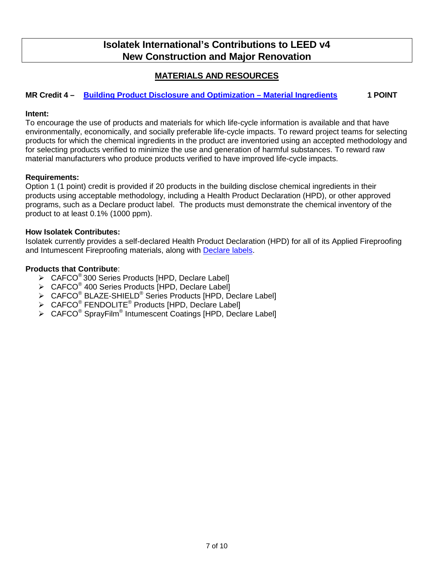## **MATERIALS AND RESOURCES**

## **MR Credit 4 – [Building Product Disclosure and Optimization –](http://www.usgbc.org/node/2616399?return=/credits/new-construction/v4/material-%26amp%3B-resources) Material Ingredients 1 POINT**

#### **Intent:**

To encourage the use of products and materials for which life-cycle information is available and that have environmentally, economically, and socially preferable life-cycle impacts. To reward project teams for selecting products for which the chemical ingredients in the product are inventoried using an accepted methodology and for selecting products verified to minimize the use and generation of harmful substances. To reward raw material manufacturers who produce products verified to have improved life-cycle impacts.

### **Requirements:**

Option 1 (1 point) credit is provided if 20 products in the building disclose chemical ingredients in their products using acceptable methodology, including a Health Product Declaration (HPD), or other approved programs, such as a Declare product label. The products must demonstrate the chemical inventory of the product to at least 0.1% (1000 ppm).

#### **How Isolatek Contributes:**

Isolatek currently provides a self-declared Health Product Declaration (HPD) for all of its Applied Fireproofing and Intumescent Fireproofing materials, along with [Declare labels.](https://living-future.org/declare/?manufacturer=isolatek-international)

- $\triangleright$  CAFCO<sup>®</sup> 300 Series Products [HPD, Declare Label]
- $\triangleright$  CAFCO<sup>®</sup> 400 Series Products [HPD, Declare Label]
- > CAFCO<sup>®</sup> BLAZE-SHIELD<sup>®</sup> Series Products [HPD, Declare Label]
- > CAFCO<sup>®</sup> FENDOLITE<sup>®</sup> Products [HPD, Declare Label]
- CAFCO® SprayFilm® Intumescent Coatings [HPD, Declare Label]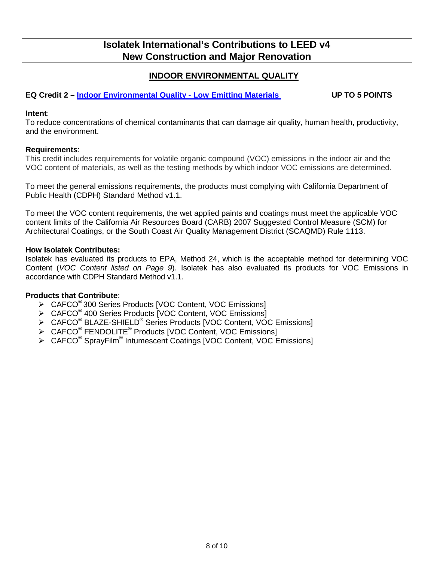## **INDOOR ENVIRONMENTAL QUALITY**

## **EQ Credit 2 – [Indoor Environmental Quality](http://www.usgbc.org/node/2614095?return=/credits/new-construction/v4/indoor-environmental-quality) - Low Emitting Materials UP TO 5 POINTS**

#### **Intent**:

To reduce concentrations of chemical contaminants that can damage air quality, human health, productivity, and the environment.

#### **Requirements**:

This credit includes requirements for volatile organic compound (VOC) emissions in the indoor air and the VOC content of materials, as well as the testing methods by which indoor VOC emissions are determined.

To meet the general emissions requirements, the products must complying with California Department of Public Health (CDPH) Standard Method v1.1.

To meet the VOC content requirements, the wet applied paints and coatings must meet the applicable VOC content limits of the California Air Resources Board (CARB) 2007 Suggested Control Measure (SCM) for Architectural Coatings, or the South Coast Air Quality Management District (SCAQMD) Rule 1113.

#### **How Isolatek Contributes:**

Isolatek has evaluated its products to EPA, Method 24, which is the acceptable method for determining VOC Content (*VOC Content listed on Page 9*). Isolatek has also evaluated its products for VOC Emissions in accordance with CDPH Standard Method v1.1.

- ▶ CAFCO<sup>®</sup> 300 Series Products [VOC Content, VOC Emissions]
- ▶ CAFCO<sup>®</sup> 400 Series Products [VOC Content, VOC Emissions]
- > CAFCO<sup>®</sup> BLAZE-SHIELD<sup>®</sup> Series Products [VOC Content, VOC Emissions]
- > CAFCO<sup>®</sup> FENDOLITE<sup>®</sup> Products [VOC Content, VOC Emissions]
- CAFCO® SprayFilm® Intumescent Coatings [VOC Content, VOC Emissions]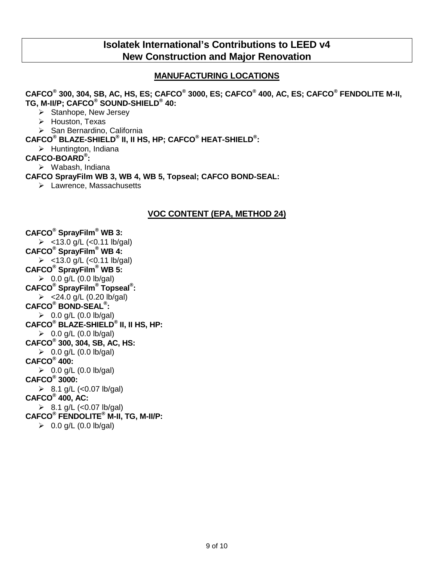## **MANUFACTURING LOCATIONS**

**CAFCO® 300, 304, SB, AC, HS, ES; CAFCO® 3000, ES; CAFCO® 400, AC, ES; CAFCO® FENDOLITE M-II, TG, M-II/P; CAFCO® SOUND-SHIELD® 40:** 

- $\triangleright$  Stanhope, New Jersey
- > Houston, Texas
- > San Bernardino, California

**CAFCO® BLAZE-SHIELD® II, II HS, HP; CAFCO® HEAT-SHIELD® :** 

 $\triangleright$  Huntington, Indiana

### **CAFCO-BOARD® :**

Wabash, Indiana

**CAFCO SprayFilm WB 3, WB 4, WB 5, Topseal; CAFCO BOND-SEAL:**

> Lawrence, Massachusetts

## **VOC CONTENT (EPA, METHOD 24)**

**CAFCO® SprayFilm® WB 3:**   $>$  <13.0 g/L (<0.11 lb/gal) **CAFCO® SprayFilm® WB 4:**   $>$  <13.0 g/L (<0.11 lb/gal) **CAFCO® SprayFilm® WB 5:**   $\geqslant$  0.0 g/L (0.0 lb/gal) **CAFCO® SprayFilm® Topseal® :**   $> 24.0$  g/L (0.20 lb/gal) **CAFCO® BOND-SEAL® :**   $0.0$  g/L (0.0 lb/gal) **CAFCO® BLAZE-SHIELD® II, II HS, HP:**   $\geqslant$  0.0 g/L (0.0 lb/gal) **CAFCO® 300, 304, SB, AC, HS:**   $\geqslant$  0.0 g/L (0.0 lb/gal) **CAFCO® 400:**   $\geqslant$  0.0 g/L (0.0 lb/gal) **CAFCO® 3000:**   $\geq$  8.1 g/L (<0.07 lb/gal) **CAFCO® 400, AC:**   $8.1$  g/L (<0.07 lb/gal) **CAFCO® FENDOLITE® M-II, TG, M-II/P:**   $\geq 0.0$  g/L (0.0 lb/gal)